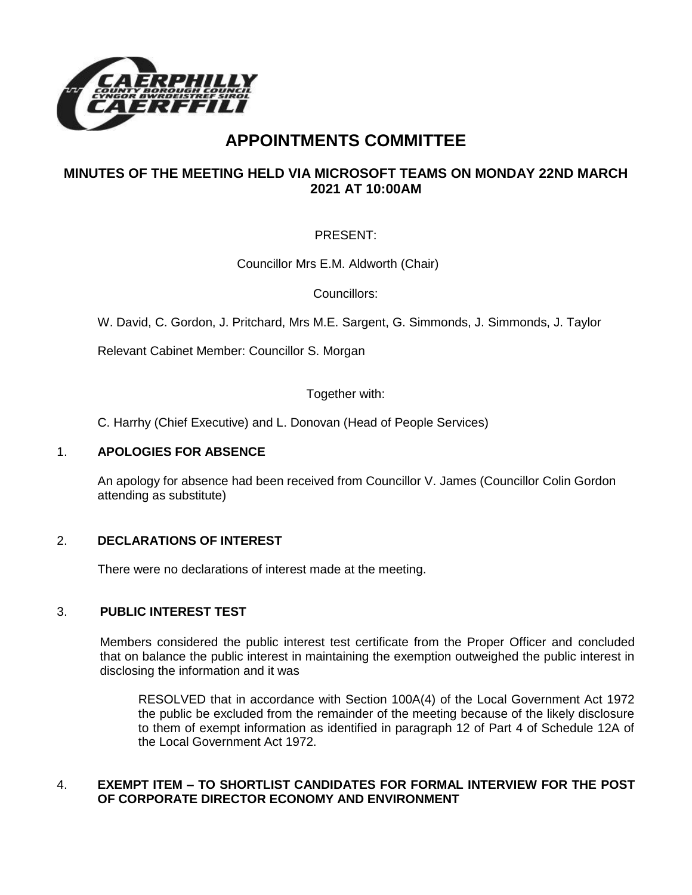

# **APPOINTMENTS COMMITTEE**

# **MINUTES OF THE MEETING HELD VIA MICROSOFT TEAMS ON MONDAY 22ND MARCH 2021 AT 10:00AM**

# PRESENT:

Councillor Mrs E.M. Aldworth (Chair)

Councillors:

W. David, C. Gordon, J. Pritchard, Mrs M.E. Sargent, G. Simmonds, J. Simmonds, J. Taylor

Relevant Cabinet Member: Councillor S. Morgan

Together with:

C. Harrhy (Chief Executive) and L. Donovan (Head of People Services)

#### 1. **APOLOGIES FOR ABSENCE**

An apology for absence had been received from Councillor V. James (Councillor Colin Gordon attending as substitute)

## 2. **DECLARATIONS OF INTEREST**

There were no declarations of interest made at the meeting.

## 3. **PUBLIC INTEREST TEST**

Members considered the public interest test certificate from the Proper Officer and concluded that on balance the public interest in maintaining the exemption outweighed the public interest in disclosing the information and it was

RESOLVED that in accordance with Section 100A(4) of the Local Government Act 1972 the public be excluded from the remainder of the meeting because of the likely disclosure to them of exempt information as identified in paragraph 12 of Part 4 of Schedule 12A of the Local Government Act 1972.

## 4. **EXEMPT ITEM – TO SHORTLIST CANDIDATES FOR FORMAL INTERVIEW FOR THE POST OF CORPORATE DIRECTOR ECONOMY AND ENVIRONMENT**